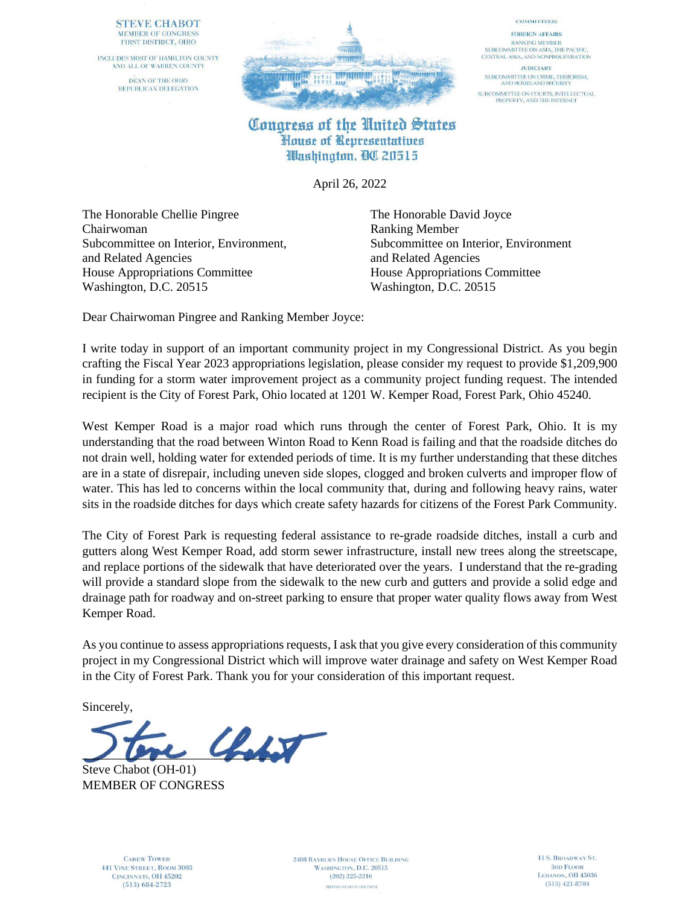## **STEVE CHABOT** MEMBER OF CONGRESS FIRST DISTRICT, OHIO

INCLUDES MOST OF HAMILTON COUNTY AND ALL OF WARREN COUNTY DEAN OF THE OHIO REPUBLICAN DELEGATION



## **COMMITTEES:**

**FOREIGN AFFAIRS RANKING MEMBER** SUBCOMMITTEE ON ASIA, THE PACIFIC, CENTRAL ASIA, AND NONPROLIFERATION

**JUDICIARY** SUBCOMMITTEE ON CRIME, TERRORISM,<br>AND HOMELAND SECURITY SUBCOMMITTEE ON COURTS, INTELLECTUAL<br>PROPERTY, AND THE INTERNET

## Congress of the United States House of Representatives Washington, QC 20515

April 26, 2022

The Honorable Chellie Pingree The Honorable David Joyce Chairwoman Ranking Member Subcommittee on Interior, Environment, Subcommittee on Interior, Environment and Related Agencies and Related Agencies House Appropriations Committee House Appropriations Committee Washington, D.C. 20515 Washington, D.C. 20515

Dear Chairwoman Pingree and Ranking Member Joyce:

I write today in support of an important community project in my Congressional District. As you begin crafting the Fiscal Year 2023 appropriations legislation, please consider my request to provide \$1,209,900 in funding for a storm water improvement project as a community project funding request. The intended recipient is the City of Forest Park, Ohio located at 1201 W. Kemper Road, Forest Park, Ohio 45240.

West Kemper Road is a major road which runs through the center of Forest Park, Ohio. It is my understanding that the road between Winton Road to Kenn Road is failing and that the roadside ditches do not drain well, holding water for extended periods of time. It is my further understanding that these ditches are in a state of disrepair, including uneven side slopes, clogged and broken culverts and improper flow of water. This has led to concerns within the local community that, during and following heavy rains, water sits in the roadside ditches for days which create safety hazards for citizens of the Forest Park Community.

The City of Forest Park is requesting federal assistance to re-grade roadside ditches, install a curb and gutters along West Kemper Road, add storm sewer infrastructure, install new trees along the streetscape, and replace portions of the sidewalk that have deteriorated over the years. I understand that the re-grading will provide a standard slope from the sidewalk to the new curb and gutters and provide a solid edge and drainage path for roadway and on-street parking to ensure that proper water quality flows away from West Kemper Road.

As you continue to assess appropriations requests, I ask that you give every consideration of this community project in my Congressional District which will improve water drainage and safety on West Kemper Road in the City of Forest Park. Thank you for your consideration of this important request.

Sincerely,

 $\mathcal{L}_{\text{adv}}$ 

Steve Chabot (OH-01) MEMBER OF CONGRESS

**CAREW TOWER 441 VINE STREET, ROOM 3003** CINCINNATI, OH 45202  $(513) 684 - 2723$ 

**2408 RAYBURN HOUSE OFFICE BUILDING** WASHINGTON, D.C. 20515  $(202)$  225-2216 PRINTED ON RECYCLED PAPER

11 S. BROADWAY ST. **3RD FLOOR** LEBANON, OH 45036  $(513)$  421-8704